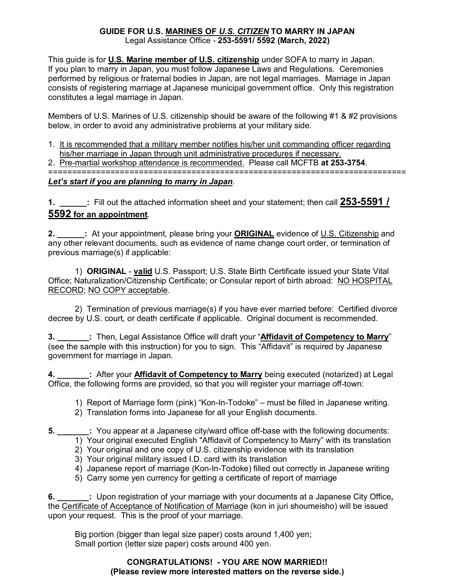### **GUIDE FOR U.S. MARINES OF** *U.S. CITIZEN* **TO MARRY IN JAPAN** Legal Assistance Office - **253-5591/ 5592 (March, 2022)**

This guide is for **U.S. Marine member of U.S. citizenship** under SOFA to marry in Japan. If you plan to marry in Japan, you must follow Japanese Laws and Regulations. Ceremonies performed by religious or fraternal bodies in Japan, are not legal marriages. Marriage in Japan consists of registering marriage at Japanese municipal government office. Only this registration constitutes a legal marriage in Japan.

Members of U.S. Marines of U.S. citizenship should be aware of the following #1 & #2 provisions below, in order to avoid any administrative problems at your military side.

- 1. It is recommended that a military member notifies his/her unit commanding officer regarding his/her marriage in Japan through unit administrative procedures if necessary.
- 2. Pre-martial workshop attendance is recommended. Please call MCFTB **at 253-3754**.

===========================================================================

## *Let's start if you are planning to marry in Japan*.

**1. \_\_\_\_\_\_:** Fill out the attached information sheet and your statement; then call **253-5591 / 5592 for an appointment**.

**2. \_\_\_\_\_\_:** At your appointment, please bring your **ORIGINAL** evidence of U.S. Citizenship and any other relevant documents, such as evidence of name change court order, or termination of previous marriage(s) if applicable:

1) **ORIGINAL** - **valid** U.S. Passport; U.S. State Birth Certificate issued your State Vital Office; Naturalization/Citizenship Certificate; or Consular report of birth abroad: NO HOSPITAL RECORD; NO COPY acceptable.

2) Termination of previous marriage(s) if you have ever married before: Certified divorce decree by U.S. court, or death certificate if applicable. Original document is recommended.

**3. \_\_\_\_\_\_\_:** Then, Legal Assistance Office will draft your "**Affidavit of Competency to Marry**" (see the sample with this instruction) for you to sign. This "Affidavit" is required by Japanese government for marriage in Japan.

**4. After your Affidavit of Competency to Marry** being executed (notarized) at Legal Office, the following forms are provided, so that you will register your marriage off-town:

1) Report of Marriage form (pink) "Kon-In-Todoke" – must be filled in Japanese writing.

- 2) Translation forms into Japanese for all your English documents.
- **5. \_\_\_\_\_\_\_:** You appear at a Japanese city/ward office off-base with the following documents:
	- 1) Your original executed English "Affidavit of Competency to Marry" with its translation
	- 2) Your original and one copy of U.S. citizenship evidence with its translation
	- 3) Your original military issued I.D. card with its translation
	- 4) Japanese report of marriage (Kon-In-Todoke) filled out correctly in Japanese writing
	- 5) Carry some yen currency for getting a certificate of report of marriage

**6. \_\_\_\_\_\_\_:** Upon registration of your marriage with your documents at a Japanese City Office**,**  the Certificate of Acceptance of Notification of Marriage (kon in juri shoumeisho) will be issued upon your request. This is the proof of your marriage.

Big portion (bigger than legal size paper) costs around 1,400 yen; Small portion (letter size paper) costs around 400 yen.

## **CONGRATULATIONS! - YOU ARE NOW MARRIED!! (Please review more interested matters on the reverse side.)**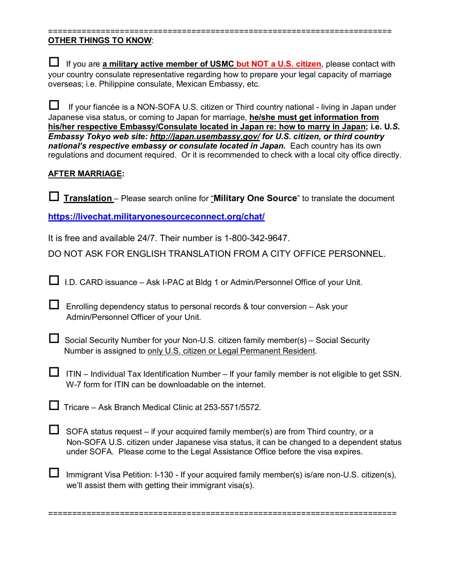#### ======================================================================== **OTHER THINGS TO KNOW**:

| If you are a military active member of USMC but NOT a U.S. citizen, please contact with        |
|------------------------------------------------------------------------------------------------|
| your country consulate representative regarding how to prepare your legal capacity of marriage |
| overseas; i.e. Philippine consulate, Mexican Embassy, etc.                                     |

 If your fiancée is a NON-SOFA U.S. citizen or Third country national - living in Japan under Japanese visa status, or coming to Japan for marriage, **he/she must get information from his/her respective Embassy/Consulate located in Japan re: how to marry in Japan; i.e. U***.S. Embassy Tokyo web site:<http://japan.usembassy.gov/> for U.S. citizen, or third country*  national's respective embassy or consulate located in Japan. Each country has its own regulations and document required. Or it is recommended to check with a local city office directly.

## **AFTER MARRIAGE:**

**Translation** – Please search online for "**Military One Source**" to translate the document

**<https://livechat.militaryonesourceconnect.org/chat/>**

It is free and available 24/7. Their number is 1-800-342-9647.

DO NOT ASK FOR ENGLISH TRANSLATION FROM A CITY OFFICE PERSONNEL.

 $\Box$  I.D. CARD issuance – Ask I-PAC at Bldg 1 or Admin/Personnel Office of your Unit.

 $\Box$  Enrolling dependency status to personal records & tour conversion – Ask your Admin/Personnel Officer of your Unit.

 $\Box$  Social Security Number for your Non-U.S. citizen family member(s) – Social Security Number is assigned to only U.S. citizen or Legal Permanent Resident.

 $\Box$  ITIN – Individual Tax Identification Number – If your family member is not eligible to get SSN. W-7 form for ITIN can be downloadable on the internet.

 $\Box$  Tricare – Ask Branch Medical Clinic at 253-5571/5572.

 $\Box$  SOFA status request – if your acquired family member(s) are from Third country, or a Non-SOFA U.S. citizen under Japanese visa status, it can be changed to a dependent status under SOFA. Please come to the Legal Assistance Office before the visa expires.

**I** Immigrant Visa Petition: I-130 - If your acquired family member(s) is/are non-U.S. citizen(s), we'll assist them with getting their immigrant visa(s).

=========================================================================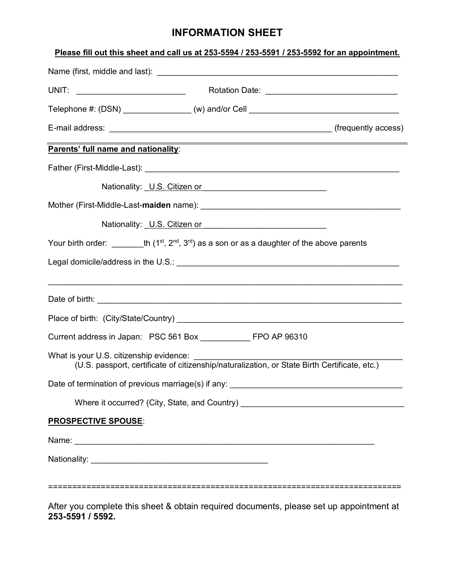# **INFORMATION SHEET**

|                                                                                                                                                                                                                                | Please fill out this sheet and call us at 253-5594 / 253-5591 / 253-5592 for an appointment.                         |  |
|--------------------------------------------------------------------------------------------------------------------------------------------------------------------------------------------------------------------------------|----------------------------------------------------------------------------------------------------------------------|--|
|                                                                                                                                                                                                                                |                                                                                                                      |  |
|                                                                                                                                                                                                                                |                                                                                                                      |  |
| Telephone #: (DSN) _________________(w) and/or Cell ____________________________                                                                                                                                               |                                                                                                                      |  |
|                                                                                                                                                                                                                                |                                                                                                                      |  |
| Parents' full name and nationality:                                                                                                                                                                                            | <u> 1989 - Johann Barn, mars eta bainar eta bainar eta baina eta baina eta baina eta baina eta baina eta baina e</u> |  |
|                                                                                                                                                                                                                                |                                                                                                                      |  |
|                                                                                                                                                                                                                                | Nationality: U.S. Citizen or Charles Contains and District Contains a substitution of the National Annual Conta      |  |
| Mother (First-Middle-Last- <b>maiden</b> name): <b>www.community.community.community.com</b>                                                                                                                                   |                                                                                                                      |  |
|                                                                                                                                                                                                                                | Nationality: U.S. Citizen or U.S. Community: U.S. Citizen or                                                         |  |
| Your birth order: th $(1^{st}, 2^{nd}, 3^{rd})$ as a son or as a daughter of the above parents                                                                                                                                 |                                                                                                                      |  |
| Legal domicile/address in the U.S.: [[11] Decree Contract of the U.S.: Contract of the U.S.: [21] Decree Contract of the U.S.: [21] Decree Contract of the U.S. and the U.S. and the U.S. and the U.S. and the U.S. and the U. |                                                                                                                      |  |
|                                                                                                                                                                                                                                | ,我们也不能在这里的时候,我们也不能在这里的时候,我们也不能不能不能不能不能不能不能不能不能不能不能不能不能。""我们,我们也不能不能不能不能不能不能不能不能不能                                    |  |
|                                                                                                                                                                                                                                |                                                                                                                      |  |
| Current address in Japan: PSC 561 Box FRO AP 96310                                                                                                                                                                             |                                                                                                                      |  |
|                                                                                                                                                                                                                                |                                                                                                                      |  |
|                                                                                                                                                                                                                                |                                                                                                                      |  |
|                                                                                                                                                                                                                                | Where it occurred? (City, State, and Country) __________________________________                                     |  |
| <b>PROSPECTIVE SPOUSE:</b>                                                                                                                                                                                                     |                                                                                                                      |  |
|                                                                                                                                                                                                                                |                                                                                                                      |  |
|                                                                                                                                                                                                                                |                                                                                                                      |  |
|                                                                                                                                                                                                                                |                                                                                                                      |  |

After you complete this sheet & obtain required documents, please set up appointment at **253-5591 / 5592.**